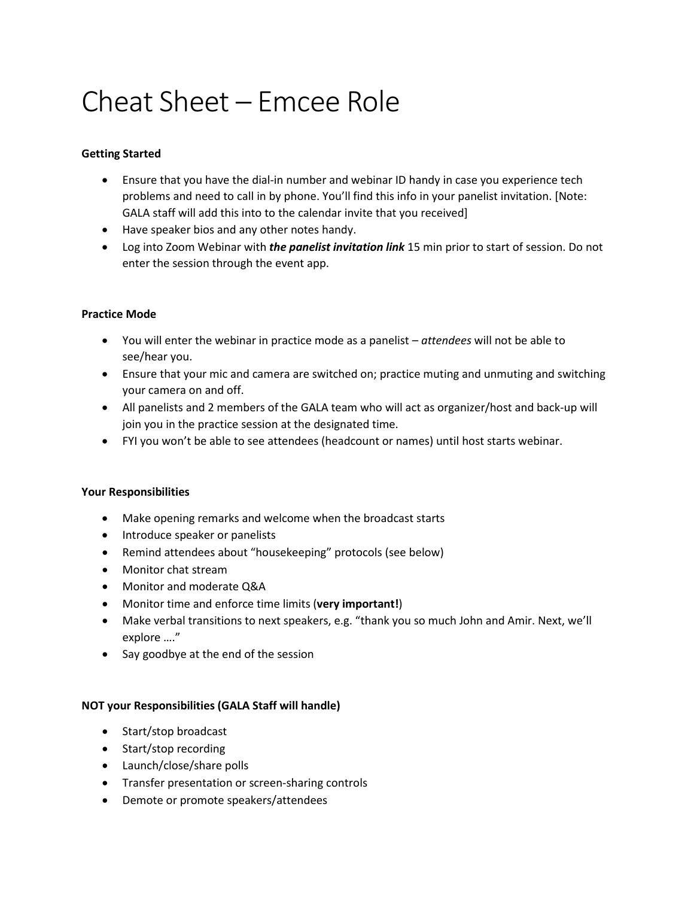# Cheat Sheet – Emcee Role

# **Getting Started**

- Ensure that you have the dial-in number and webinar ID handy in case you experience tech problems and need to call in by phone. You'll find this info in your panelist invitation. [Note: GALA staff will add this into to the calendar invite that you received]
- Have speaker bios and any other notes handy.
- Log into Zoom Webinar with *the panelist invitation link* 15 min prior to start of session. Do not enter the session through the event app.

### **Practice Mode**

- You will enter the webinar in practice mode as a panelist *attendees* will not be able to see/hear you.
- Ensure that your mic and camera are switched on; practice muting and unmuting and switching your camera on and off.
- All panelists and 2 members of the GALA team who will act as organizer/host and back-up will join you in the practice session at the designated time.
- FYI you won't be able to see attendees (headcount or names) until host starts webinar.

## **Your Responsibilities**

- Make opening remarks and welcome when the broadcast starts
- Introduce speaker or panelists
- Remind attendees about "housekeeping" protocols (see below)
- Monitor chat stream
- Monitor and moderate Q&A
- Monitor time and enforce time limits (**very important!**)
- Make verbal transitions to next speakers, e.g. "thank you so much John and Amir. Next, we'll explore …."
- Say goodbye at the end of the session

## **NOT your Responsibilities (GALA Staff will handle)**

- Start/stop broadcast
- Start/stop recording
- Launch/close/share polls
- Transfer presentation or screen-sharing controls
- Demote or promote speakers/attendees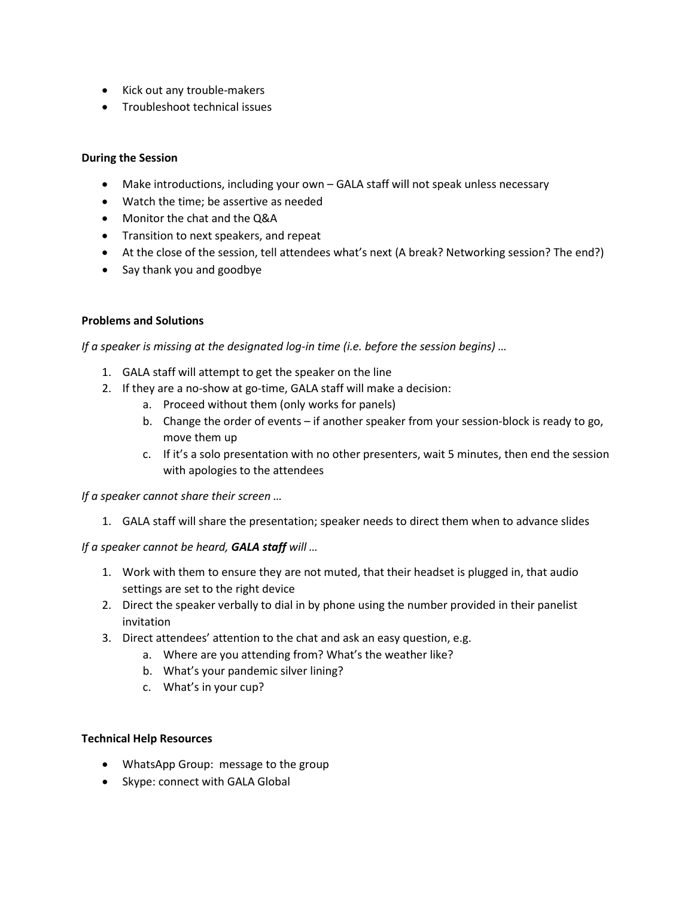- Kick out any trouble-makers
- Troubleshoot technical issues

## **During the Session**

- Make introductions, including your own GALA staff will not speak unless necessary
- Watch the time; be assertive as needed
- Monitor the chat and the Q&A
- Transition to next speakers, and repeat
- At the close of the session, tell attendees what's next (A break? Networking session? The end?)
- Say thank you and goodbye

### **Problems and Solutions**

*If a speaker is missing at the designated log-in time (i.e. before the session begins) …*

- 1. GALA staff will attempt to get the speaker on the line
- 2. If they are a no-show at go-time, GALA staff will make a decision:
	- a. Proceed without them (only works for panels)
	- b. Change the order of events if another speaker from your session-block is ready to go, move them up
	- c. If it's a solo presentation with no other presenters, wait 5 minutes, then end the session with apologies to the attendees

*If a speaker cannot share their screen …*

1. GALA staff will share the presentation; speaker needs to direct them when to advance slides

#### *If a speaker cannot be heard, GALA staff will …*

- 1. Work with them to ensure they are not muted, that their headset is plugged in, that audio settings are set to the right device
- 2. Direct the speaker verbally to dial in by phone using the number provided in their panelist invitation
- 3. Direct attendees' attention to the chat and ask an easy question, e.g.
	- a. Where are you attending from? What's the weather like?
	- b. What's your pandemic silver lining?
	- c. What's in your cup?

#### **Technical Help Resources**

- WhatsApp Group: message to the group
- Skype: connect with GALA Global